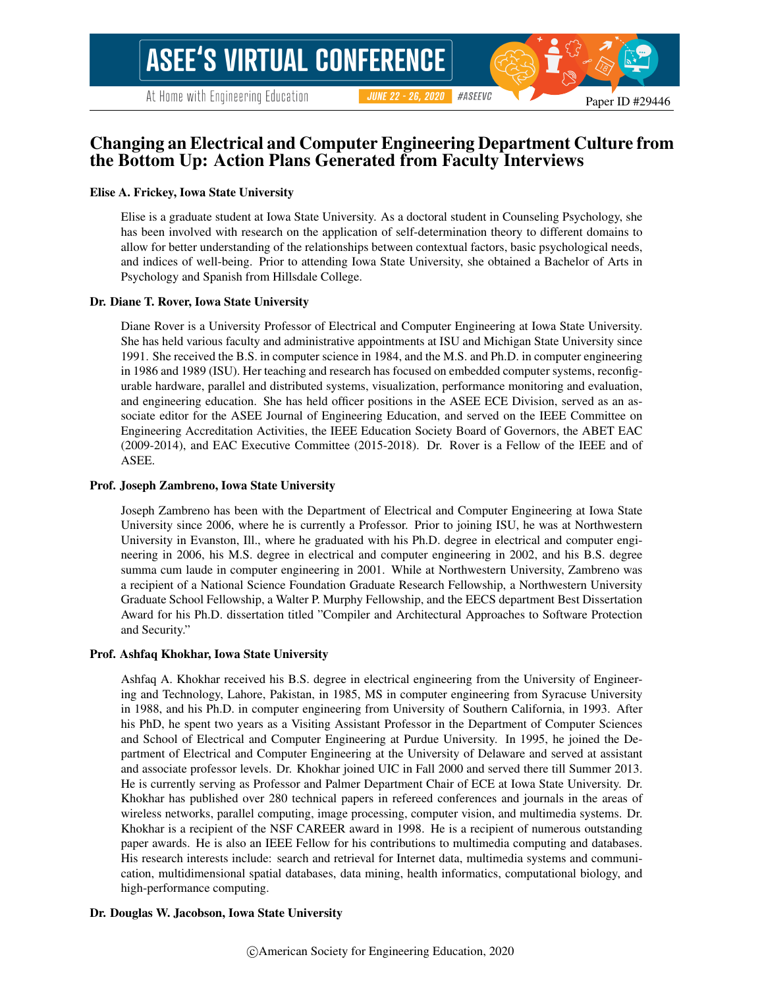# Changing an Electrical and Computer Engineering Department Culture from the Bottom Up: Action Plans Generated from Faculty Interviews

## Elise A. Frickey, Iowa State University

Elise is a graduate student at Iowa State University. As a doctoral student in Counseling Psychology, she has been involved with research on the application of self-determination theory to different domains to allow for better understanding of the relationships between contextual factors, basic psychological needs, and indices of well-being. Prior to attending Iowa State University, she obtained a Bachelor of Arts in Psychology and Spanish from Hillsdale College.

## Dr. Diane T. Rover, Iowa State University

Diane Rover is a University Professor of Electrical and Computer Engineering at Iowa State University. She has held various faculty and administrative appointments at ISU and Michigan State University since 1991. She received the B.S. in computer science in 1984, and the M.S. and Ph.D. in computer engineering in 1986 and 1989 (ISU). Her teaching and research has focused on embedded computer systems, reconfigurable hardware, parallel and distributed systems, visualization, performance monitoring and evaluation, and engineering education. She has held officer positions in the ASEE ECE Division, served as an associate editor for the ASEE Journal of Engineering Education, and served on the IEEE Committee on Engineering Accreditation Activities, the IEEE Education Society Board of Governors, the ABET EAC (2009-2014), and EAC Executive Committee (2015-2018). Dr. Rover is a Fellow of the IEEE and of ASEE.

#### Prof. Joseph Zambreno, Iowa State University

Joseph Zambreno has been with the Department of Electrical and Computer Engineering at Iowa State University since 2006, where he is currently a Professor. Prior to joining ISU, he was at Northwestern University in Evanston, Ill., where he graduated with his Ph.D. degree in electrical and computer engineering in 2006, his M.S. degree in electrical and computer engineering in 2002, and his B.S. degree summa cum laude in computer engineering in 2001. While at Northwestern University, Zambreno was a recipient of a National Science Foundation Graduate Research Fellowship, a Northwestern University Graduate School Fellowship, a Walter P. Murphy Fellowship, and the EECS department Best Dissertation Award for his Ph.D. dissertation titled "Compiler and Architectural Approaches to Software Protection and Security."

## Prof. Ashfaq Khokhar, Iowa State University

Ashfaq A. Khokhar received his B.S. degree in electrical engineering from the University of Engineering and Technology, Lahore, Pakistan, in 1985, MS in computer engineering from Syracuse University in 1988, and his Ph.D. in computer engineering from University of Southern California, in 1993. After his PhD, he spent two years as a Visiting Assistant Professor in the Department of Computer Sciences and School of Electrical and Computer Engineering at Purdue University. In 1995, he joined the Department of Electrical and Computer Engineering at the University of Delaware and served at assistant and associate professor levels. Dr. Khokhar joined UIC in Fall 2000 and served there till Summer 2013. He is currently serving as Professor and Palmer Department Chair of ECE at Iowa State University. Dr. Khokhar has published over 280 technical papers in refereed conferences and journals in the areas of wireless networks, parallel computing, image processing, computer vision, and multimedia systems. Dr. Khokhar is a recipient of the NSF CAREER award in 1998. He is a recipient of numerous outstanding paper awards. He is also an IEEE Fellow for his contributions to multimedia computing and databases. His research interests include: search and retrieval for Internet data, multimedia systems and communication, multidimensional spatial databases, data mining, health informatics, computational biology, and high-performance computing.

## Dr. Douglas W. Jacobson, Iowa State University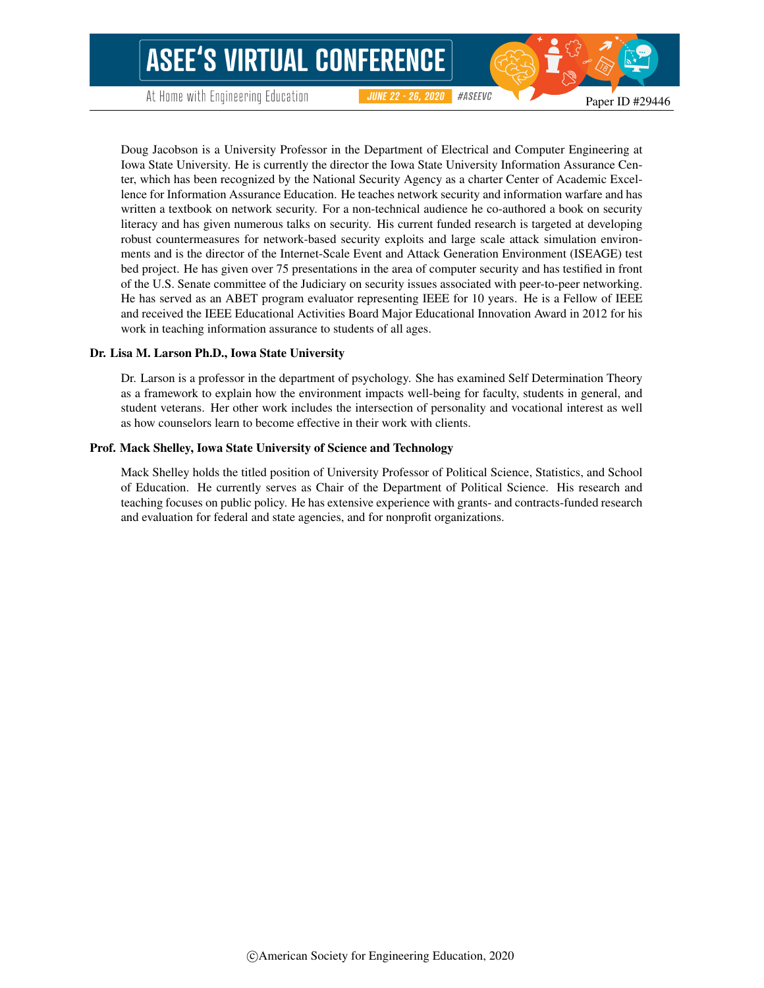Doug Jacobson is a University Professor in the Department of Electrical and Computer Engineering at Iowa State University. He is currently the director the Iowa State University Information Assurance Center, which has been recognized by the National Security Agency as a charter Center of Academic Excellence for Information Assurance Education. He teaches network security and information warfare and has written a textbook on network security. For a non-technical audience he co-authored a book on security literacy and has given numerous talks on security. His current funded research is targeted at developing robust countermeasures for network-based security exploits and large scale attack simulation environments and is the director of the Internet-Scale Event and Attack Generation Environment (ISEAGE) test bed project. He has given over 75 presentations in the area of computer security and has testified in front of the U.S. Senate committee of the Judiciary on security issues associated with peer-to-peer networking. He has served as an ABET program evaluator representing IEEE for 10 years. He is a Fellow of IEEE and received the IEEE Educational Activities Board Major Educational Innovation Award in 2012 for his work in teaching information assurance to students of all ages.

#### Dr. Lisa M. Larson Ph.D., Iowa State University

At Home with Engineering Education

Dr. Larson is a professor in the department of psychology. She has examined Self Determination Theory as a framework to explain how the environment impacts well-being for faculty, students in general, and student veterans. Her other work includes the intersection of personality and vocational interest as well as how counselors learn to become effective in their work with clients.

#### Prof. Mack Shelley, Iowa State University of Science and Technology

Mack Shelley holds the titled position of University Professor of Political Science, Statistics, and School of Education. He currently serves as Chair of the Department of Political Science. His research and teaching focuses on public policy. He has extensive experience with grants- and contracts-funded research and evaluation for federal and state agencies, and for nonprofit organizations.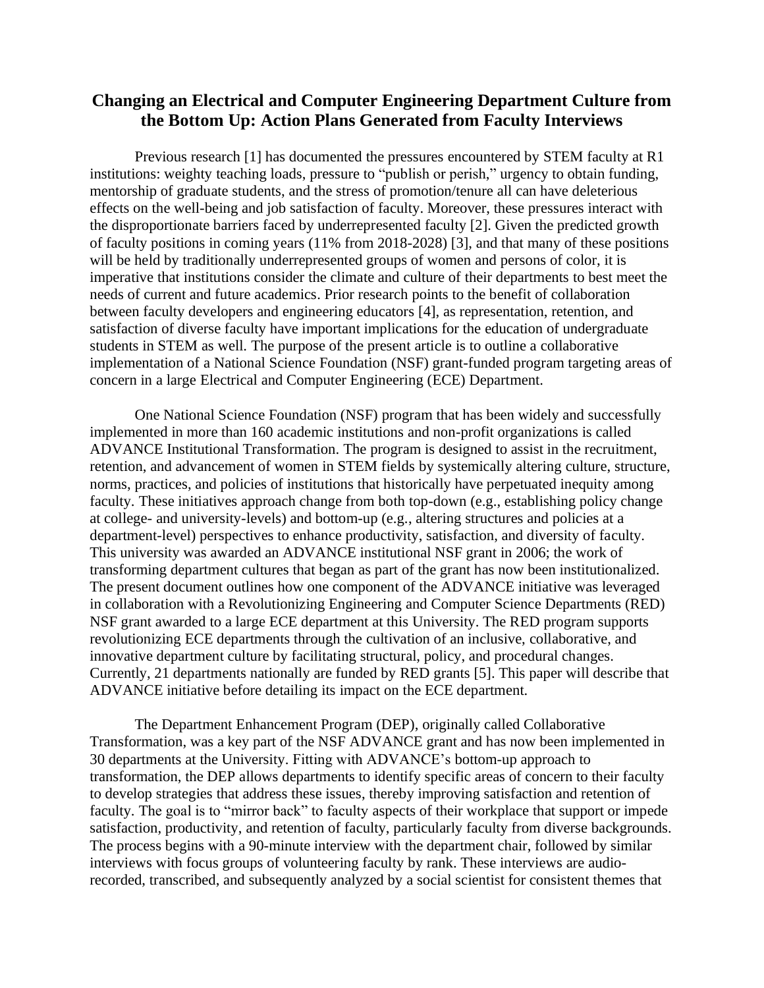# **Changing an Electrical and Computer Engineering Department Culture from the Bottom Up: Action Plans Generated from Faculty Interviews**

Previous research [1] has documented the pressures encountered by STEM faculty at R1 institutions: weighty teaching loads, pressure to "publish or perish," urgency to obtain funding, mentorship of graduate students, and the stress of promotion/tenure all can have deleterious effects on the well-being and job satisfaction of faculty. Moreover, these pressures interact with the disproportionate barriers faced by underrepresented faculty [2]. Given the predicted growth of faculty positions in coming years (11% from 2018-2028) [3], and that many of these positions will be held by traditionally underrepresented groups of women and persons of color, it is imperative that institutions consider the climate and culture of their departments to best meet the needs of current and future academics. Prior research points to the benefit of collaboration between faculty developers and engineering educators [4], as representation, retention, and satisfaction of diverse faculty have important implications for the education of undergraduate students in STEM as well. The purpose of the present article is to outline a collaborative implementation of a National Science Foundation (NSF) grant-funded program targeting areas of concern in a large Electrical and Computer Engineering (ECE) Department.

One National Science Foundation (NSF) program that has been widely and successfully implemented in more than 160 academic institutions and non-profit organizations is called ADVANCE Institutional Transformation. The program is designed to assist in the recruitment, retention, and advancement of women in STEM fields by systemically altering culture, structure, norms, practices, and policies of institutions that historically have perpetuated inequity among faculty. These initiatives approach change from both top-down (e.g., establishing policy change at college- and university-levels) and bottom-up (e.g., altering structures and policies at a department-level) perspectives to enhance productivity, satisfaction, and diversity of faculty. This university was awarded an ADVANCE institutional NSF grant in 2006; the work of transforming department cultures that began as part of the grant has now been institutionalized. The present document outlines how one component of the ADVANCE initiative was leveraged in collaboration with a Revolutionizing Engineering and Computer Science Departments (RED) NSF grant awarded to a large ECE department at this University. The RED program supports revolutionizing ECE departments through the cultivation of an inclusive, collaborative, and innovative department culture by facilitating structural, policy, and procedural changes. Currently, 21 departments nationally are funded by RED grants [5]. This paper will describe that ADVANCE initiative before detailing its impact on the ECE department.

The Department Enhancement Program (DEP), originally called Collaborative Transformation, was a key part of the NSF ADVANCE grant and has now been implemented in 30 departments at the University. Fitting with ADVANCE's bottom-up approach to transformation, the DEP allows departments to identify specific areas of concern to their faculty to develop strategies that address these issues, thereby improving satisfaction and retention of faculty. The goal is to "mirror back" to faculty aspects of their workplace that support or impede satisfaction, productivity, and retention of faculty, particularly faculty from diverse backgrounds. The process begins with a 90-minute interview with the department chair, followed by similar interviews with focus groups of volunteering faculty by rank. These interviews are audiorecorded, transcribed, and subsequently analyzed by a social scientist for consistent themes that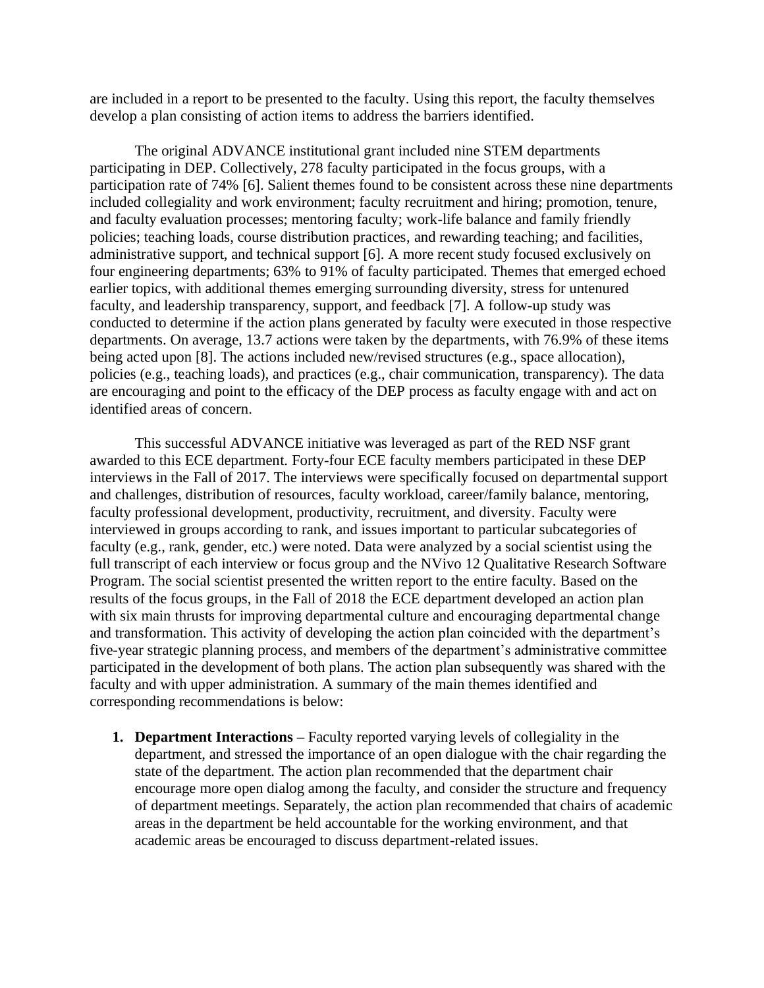are included in a report to be presented to the faculty. Using this report, the faculty themselves develop a plan consisting of action items to address the barriers identified.

The original ADVANCE institutional grant included nine STEM departments participating in DEP. Collectively, 278 faculty participated in the focus groups, with a participation rate of 74% [6]. Salient themes found to be consistent across these nine departments included collegiality and work environment; faculty recruitment and hiring; promotion, tenure, and faculty evaluation processes; mentoring faculty; work-life balance and family friendly policies; teaching loads, course distribution practices, and rewarding teaching; and facilities, administrative support, and technical support [6]. A more recent study focused exclusively on four engineering departments; 63% to 91% of faculty participated. Themes that emerged echoed earlier topics, with additional themes emerging surrounding diversity, stress for untenured faculty, and leadership transparency, support, and feedback [7]. A follow-up study was conducted to determine if the action plans generated by faculty were executed in those respective departments. On average, 13.7 actions were taken by the departments, with 76.9% of these items being acted upon [8]. The actions included new/revised structures (e.g., space allocation), policies (e.g., teaching loads), and practices (e.g., chair communication, transparency). The data are encouraging and point to the efficacy of the DEP process as faculty engage with and act on identified areas of concern.

This successful ADVANCE initiative was leveraged as part of the RED NSF grant awarded to this ECE department. Forty-four ECE faculty members participated in these DEP interviews in the Fall of 2017. The interviews were specifically focused on departmental support and challenges, distribution of resources, faculty workload, career/family balance, mentoring, faculty professional development, productivity, recruitment, and diversity. Faculty were interviewed in groups according to rank, and issues important to particular subcategories of faculty (e.g., rank, gender, etc.) were noted. Data were analyzed by a social scientist using the full transcript of each interview or focus group and the NVivo 12 Qualitative Research Software Program. The social scientist presented the written report to the entire faculty. Based on the results of the focus groups, in the Fall of 2018 the ECE department developed an action plan with six main thrusts for improving departmental culture and encouraging departmental change and transformation. This activity of developing the action plan coincided with the department's five-year strategic planning process, and members of the department's administrative committee participated in the development of both plans. The action plan subsequently was shared with the faculty and with upper administration. A summary of the main themes identified and corresponding recommendations is below:

**1. Department Interactions –** Faculty reported varying levels of collegiality in the department, and stressed the importance of an open dialogue with the chair regarding the state of the department. The action plan recommended that the department chair encourage more open dialog among the faculty, and consider the structure and frequency of department meetings. Separately, the action plan recommended that chairs of academic areas in the department be held accountable for the working environment, and that academic areas be encouraged to discuss department-related issues.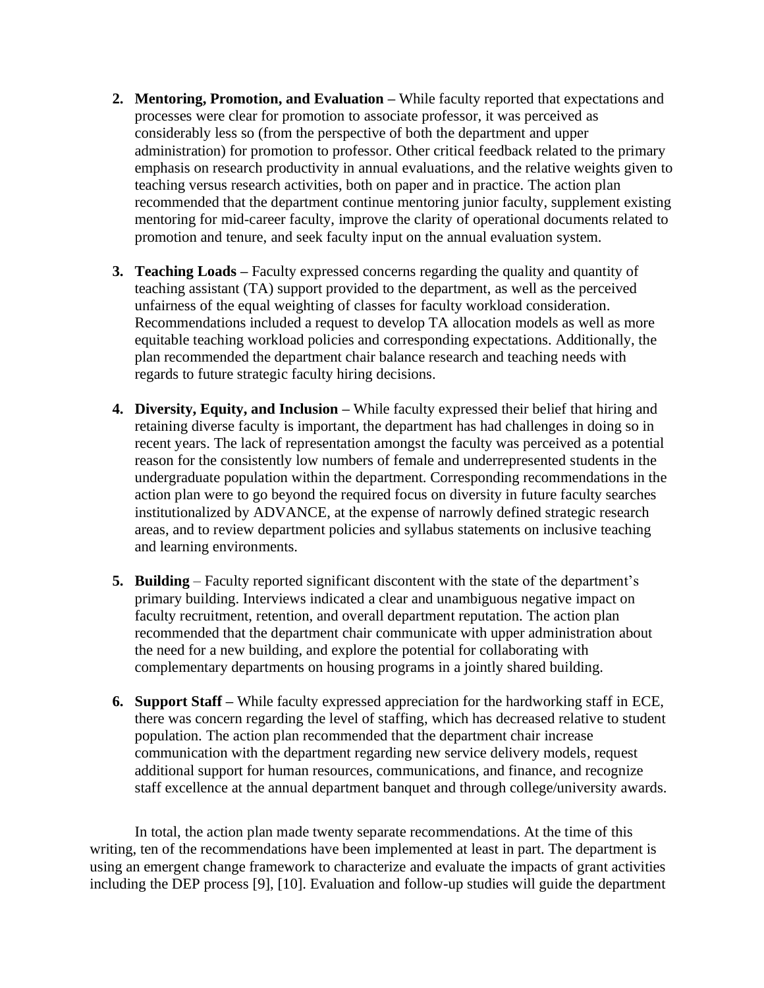- **2. Mentoring, Promotion, and Evaluation –** While faculty reported that expectations and processes were clear for promotion to associate professor, it was perceived as considerably less so (from the perspective of both the department and upper administration) for promotion to professor. Other critical feedback related to the primary emphasis on research productivity in annual evaluations, and the relative weights given to teaching versus research activities, both on paper and in practice. The action plan recommended that the department continue mentoring junior faculty, supplement existing mentoring for mid-career faculty, improve the clarity of operational documents related to promotion and tenure, and seek faculty input on the annual evaluation system.
- **3. Teaching Loads –** Faculty expressed concerns regarding the quality and quantity of teaching assistant (TA) support provided to the department, as well as the perceived unfairness of the equal weighting of classes for faculty workload consideration. Recommendations included a request to develop TA allocation models as well as more equitable teaching workload policies and corresponding expectations. Additionally, the plan recommended the department chair balance research and teaching needs with regards to future strategic faculty hiring decisions.
- **4. Diversity, Equity, and Inclusion –** While faculty expressed their belief that hiring and retaining diverse faculty is important, the department has had challenges in doing so in recent years. The lack of representation amongst the faculty was perceived as a potential reason for the consistently low numbers of female and underrepresented students in the undergraduate population within the department. Corresponding recommendations in the action plan were to go beyond the required focus on diversity in future faculty searches institutionalized by ADVANCE, at the expense of narrowly defined strategic research areas, and to review department policies and syllabus statements on inclusive teaching and learning environments.
- **5. Building**  Faculty reported significant discontent with the state of the department's primary building. Interviews indicated a clear and unambiguous negative impact on faculty recruitment, retention, and overall department reputation. The action plan recommended that the department chair communicate with upper administration about the need for a new building, and explore the potential for collaborating with complementary departments on housing programs in a jointly shared building.
- **6. Support Staff –** While faculty expressed appreciation for the hardworking staff in ECE, there was concern regarding the level of staffing, which has decreased relative to student population. The action plan recommended that the department chair increase communication with the department regarding new service delivery models, request additional support for human resources, communications, and finance, and recognize staff excellence at the annual department banquet and through college/university awards.

In total, the action plan made twenty separate recommendations. At the time of this writing, ten of the recommendations have been implemented at least in part. The department is using an emergent change framework to characterize and evaluate the impacts of grant activities including the DEP process [9], [10]. Evaluation and follow-up studies will guide the department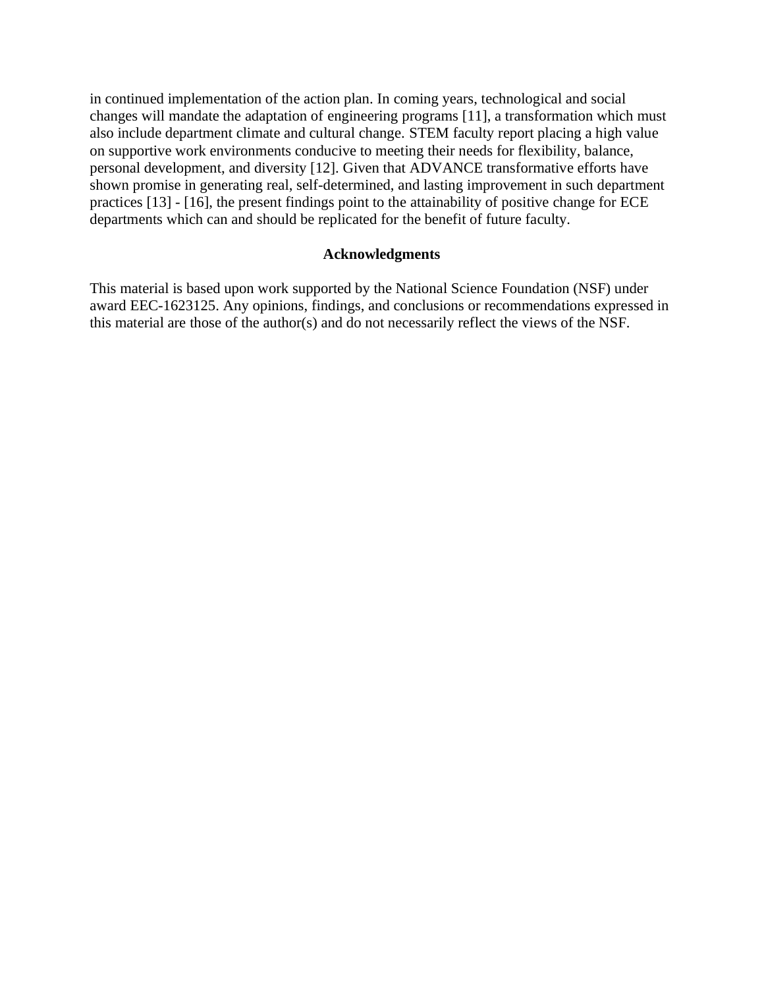in continued implementation of the action plan. In coming years, technological and social changes will mandate the adaptation of engineering programs [11], a transformation which must also include department climate and cultural change. STEM faculty report placing a high value on supportive work environments conducive to meeting their needs for flexibility, balance, personal development, and diversity [12]. Given that ADVANCE transformative efforts have shown promise in generating real, self-determined, and lasting improvement in such department practices [13] - [16], the present findings point to the attainability of positive change for ECE departments which can and should be replicated for the benefit of future faculty.

# **Acknowledgments**

This material is based upon work supported by the National Science Foundation (NSF) under award EEC-1623125. Any opinions, findings, and conclusions or recommendations expressed in this material are those of the author(s) and do not necessarily reflect the views of the NSF.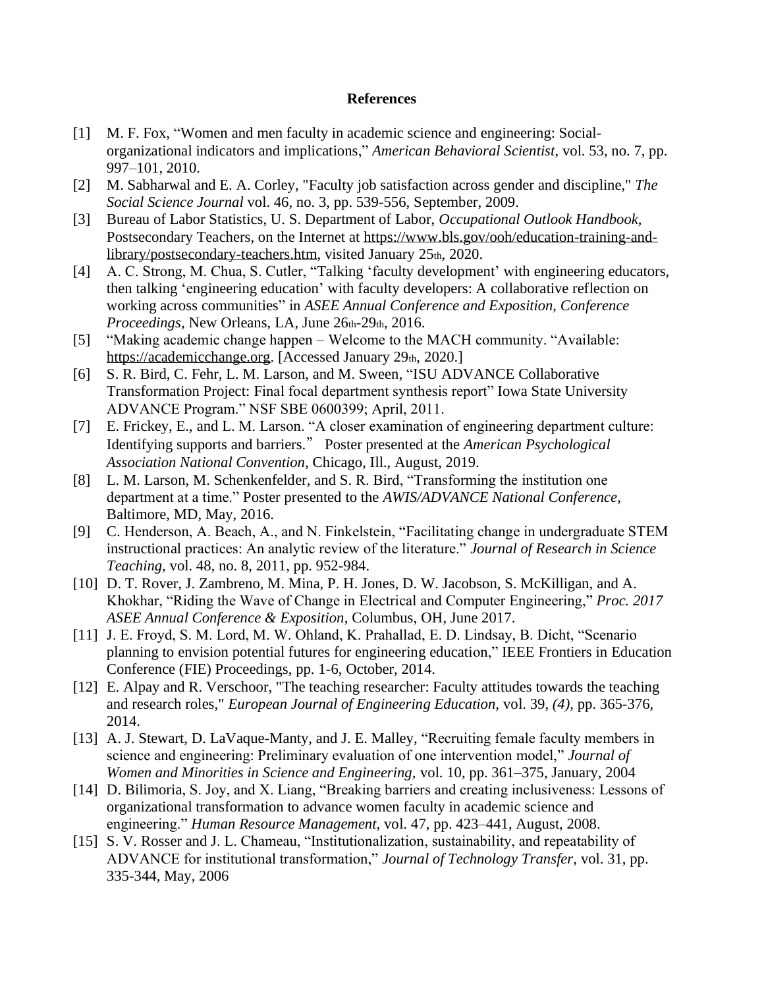# **References**

- [1] M. F. Fox, "Women and men faculty in academic science and engineering: Socialorganizational indicators and implications," *American Behavioral Scientist*, vol. 53, no. 7, pp. 997–101, 2010.
- [2] M. Sabharwal and E. A. Corley, "Faculty job satisfaction across gender and discipline," *The Social Science Journal* vol. 46, no. 3, pp. 539-556, September, 2009.
- [3] Bureau of Labor Statistics, U. S. Department of Labor, *Occupational Outlook Handbook,*  Postsecondary Teachers, on the Internet at [https://www.bls.gov/ooh/education-training-and](https://www.bls.gov/ooh/education-training-and-library/postsecondary-teachers.htm)[library/postsecondary-teachers.htm,](https://www.bls.gov/ooh/education-training-and-library/postsecondary-teachers.htm) visited January 25th, 2020.
- [4] A. C. Strong, M. Chua, S. Cutler, "Talking 'faculty development' with engineering educators, then talking 'engineering education' with faculty developers: A collaborative reflection on working across communities" in *ASEE Annual Conference and Exposition, Conference Proceedings,* New Orleans, LA, June 26th-29th, 2016.
- [5] "Making academic change happen Welcome to the MACH community. "Available: [https://academicchange.org.](https://academicchange.org/) [Accessed January 29th, 2020.]
- [6] S. R. Bird, C. Fehr, L. M. Larson, and M. Sween, "ISU ADVANCE Collaborative Transformation Project: Final focal department synthesis report" Iowa State University ADVANCE Program." NSF SBE 0600399; April, 2011.
- [7] E. Frickey, E., and L. M. Larson. "A closer examination of engineering department culture: Identifying supports and barriers." Poster presented at the *American Psychological Association National Convention*, Chicago, Ill., August, 2019.
- [8] L. M. Larson, M. Schenkenfelder, and S. R. Bird, "Transforming the institution one department at a time." Poster presented to the *AWIS/ADVANCE National Conference*, Baltimore, MD, May, 2016.
- [9] C. Henderson, A. Beach, A., and N. Finkelstein, "Facilitating change in undergraduate STEM instructional practices: An analytic review of the literature." *Journal of Research in Science Teaching,* vol. 48, no. 8, 2011, pp. 952-984.
- [10] D. T. Rover, J. Zambreno, M. Mina, P. H. Jones, D. W. Jacobson, S. McKilligan, and A. Khokhar, "Riding the Wave of Change in Electrical and Computer Engineering," *Proc. 2017 ASEE Annual Conference & Exposition*, Columbus, OH, June 2017.
- [11] J. E. Froyd, S. M. Lord, M. W. Ohland, K. Prahallad, E. D. Lindsay, B. Dicht, "Scenario planning to envision potential futures for engineering education," IEEE Frontiers in Education Conference (FIE) Proceedings, pp. 1-6, October, 2014.
- [12] E. Alpay and R. Verschoor, "The teaching researcher: Faculty attitudes towards the teaching and research roles," *European Journal of Engineering Education,* vol. 39, *(4),* pp. 365-376, 2014.
- [13] A. J. Stewart, D. LaVaque-Manty, and J. E. Malley, "Recruiting female faculty members in science and engineering: Preliminary evaluation of one intervention model," *Journal of Women and Minorities in Science and Engineering,* vol. 10, pp. 361–375, January, 2004
- [14] D. Bilimoria, S. Joy, and X. Liang, "Breaking barriers and creating inclusiveness: Lessons of organizational transformation to advance women faculty in academic science and engineering." *Human Resource Management*, vol. 47, pp. 423–441, August, 2008.
- [15] S. V. Rosser and J. L. Chameau, "Institutionalization, sustainability, and repeatability of ADVANCE for institutional transformation," *Journal of Technology Transfer,* vol. 31, pp. 335-344, May, 2006